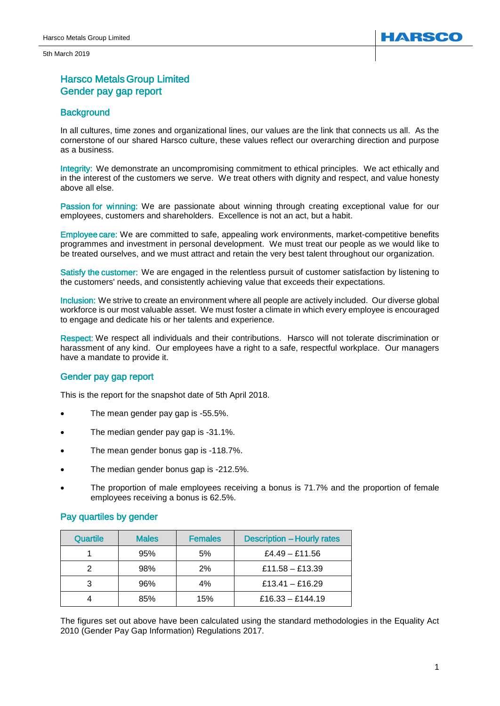5th March 2019

# Harsco Metals Group Limited Gender pay gap report

# **Background**

In all cultures, time zones and organizational lines, our values are the link that connects us all. As the cornerstone of our shared Harsco culture, these values reflect our overarching direction and purpose as a business.

Integrity: We demonstrate an uncompromising commitment to ethical principles. We act ethically and in the interest of the customers we serve. We treat others with dignity and respect, and value honesty above all else.

Passion for winning: We are passionate about winning through creating exceptional value for our employees, customers and shareholders. Excellence is not an act, but a habit.

Employee care: We are committed to safe, appealing work environments, market-competitive benefits programmes and investment in personal development. We must treat our people as we would like to be treated ourselves, and we must attract and retain the very best talent throughout our organization.

Satisfy the customer: We are engaged in the relentless pursuit of customer satisfaction by listening to the customers' needs, and consistently achieving value that exceeds their expectations.

Inclusion: We strive to create an environment where all people are actively included. Our diverse global workforce is our most valuable asset. We must foster a climate in which every employee is encouraged to engage and dedicate his or her talents and experience.

Respect: We respect all individuals and their contributions. Harsco will not tolerate discrimination or harassment of any kind. Our employees have a right to a safe, respectful workplace. Our managers have a mandate to provide it.

# Gender pay gap report

This is the report for the snapshot date of 5th April 2018.

- The mean gender pay gap is -55.5%.
- The median gender pay gap is -31.1%.
- The mean gender bonus gap is -118.7%.
- The median gender bonus gap is -212.5%.
- The proportion of male employees receiving a bonus is 71.7% and the proportion of female employees receiving a bonus is 62.5%.

## Pay quartiles by gender

| <b>Quartile</b> | <b>Males</b> | <b>Females</b> | <b>Description - Hourly rates</b> |
|-----------------|--------------|----------------|-----------------------------------|
|                 | 95%          | 5%             | £4.49 - £11.56                    |
|                 | 98%          | 2%             | £11.58 - £13.39                   |
|                 | 96%          | 4%             | £13.41 - £16.29                   |
|                 | 85%          | 15%            | £16.33 - £144.19                  |

The figures set out above have been calculated using the standard methodologies in the Equality Act 2010 (Gender Pay Gap Information) Regulations 2017.